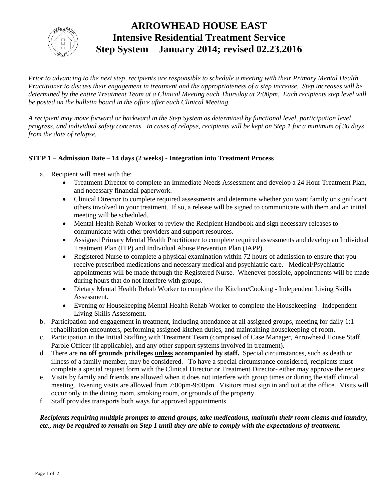

# **ARROWHEAD HOUSE EAST Intensive Residential Treatment Service Step System – January 2014; revised 02.23.2016**

*Prior to advancing to the next step, recipients are responsible to schedule a meeting with their Primary Mental Health Practitioner to discuss their engagement in treatment and the appropriateness of a step increase. Step increases will be determined by the entire Treatment Team at a Clinical Meeting each Thursday at 2:00pm. Each recipients step level will be posted on the bulletin board in the office after each Clinical Meeting.*

*A recipient may move forward or backward in the Step System as determined by functional level, participation level, progress, and individual safety concerns. In cases of relapse, recipients will be kept on Step 1 for a minimum of 30 days from the date of relapse.*

## **STEP 1 – Admission Date – 14 days (2 weeks) - Integration into Treatment Process**

- a. Recipient will meet with the:
	- Treatment Director to complete an Immediate Needs Assessment and develop a 24 Hour Treatment Plan, and necessary financial paperwork.
	- Clinical Director to complete required assessments and determine whether you want family or significant others involved in your treatment. If so, a release will be signed to communicate with them and an initial meeting will be scheduled.
	- Mental Health Rehab Worker to review the Recipient Handbook and sign necessary releases to communicate with other providers and support resources.
	- Assigned Primary Mental Health Practitioner to complete required assessments and develop an Individual Treatment Plan (ITP) and Individual Abuse Prevention Plan (IAPP).
	- Registered Nurse to complete a physical examination within 72 hours of admission to ensure that you receive prescribed medications and necessary medical and psychiatric care. Medical/Psychiatric appointments will be made through the Registered Nurse. Whenever possible, appointments will be made during hours that do not interfere with groups.
	- Dietary Mental Health Rehab Worker to complete the Kitchen/Cooking Independent Living Skills Assessment.
	- Evening or Housekeeping Mental Health Rehab Worker to complete the Housekeeping Independent Living Skills Assessment.
- b. Participation and engagement in treatment, including attendance at all assigned groups, meeting for daily 1:1 rehabilitation encounters, performing assigned kitchen duties, and maintaining housekeeping of room.
- c. Participation in the Initial Staffing with Treatment Team (comprised of Case Manager, Arrowhead House Staff, Parole Officer (if applicable), and any other support systems involved in treatment).
- d. There are **no off grounds privileges unless accompanied by staff.** Special circumstances, such as death or illness of a family member, may be considered. To have a special circumstance considered, recipients must complete a special request form with the Clinical Director or Treatment Director- either may approve the request.
- e. Visits by family and friends are allowed when it does not interfere with group times or during the staff clinical meeting. Evening visits are allowed from 7:00pm-9:00pm. Visitors must sign in and out at the office. Visits will occur only in the dining room, smoking room, or grounds of the property.
- f. Staff provides transports both ways for approved appointments.

#### *Recipients requiring multiple prompts to attend groups, take medications, maintain their room cleans and laundry, etc., may be required to remain on Step 1 until they are able to comply with the expectations of treatment.*